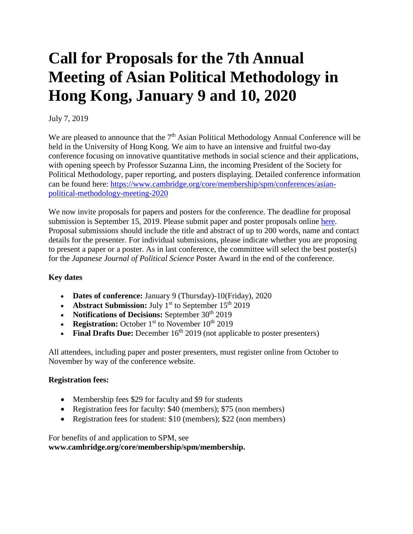# **Call for Proposals for the 7th Annual Meeting of Asian Political Methodology in Hong Kong, January 9 and 10, 2020**

## July 7, 2019

We are pleased to announce that the  $7<sup>th</sup>$  Asian Political Methodology Annual Conference will be held in the University of Hong Kong. We aim to have an intensive and fruitful two-day conference focusing on innovative quantitative methods in social science and their applications, with opening speech by Professor Suzanna Linn, the incoming President of the Society for Political Methodology, paper reporting, and posters displaying. Detailed conference information can be found here: [https://www.cambridge.org/core/membership/spm/conferences/asian](https://www.cambridge.org/core/membership/spm/conferences/asian-political-methodology-meeting-2020)[political-methodology-meeting-2020](https://www.cambridge.org/core/membership/spm/conferences/asian-political-methodology-meeting-2020)

We now invite proposals for papers and posters for the conference. The deadline for proposal submission is September 15, 2019. Please submit paper and poster proposals online [here.](https://www.cambridge.org/core/membership/spm/register) Proposal submissions should include the title and abstract of up to 200 words, name and contact details for the presenter. For individual submissions, please indicate whether you are proposing to present a paper or a poster. As in last conference, the committee will select the best poster(s) for the *Japanese Journal of Political Science* Poster Award in the end of the conference.

## **Key dates**

- **Dates of conference:** January 9 (Thursday)-10(Friday), 2020
- **Abstract Submission:** July 1<sup>st</sup> to September 15<sup>th</sup> 2019
- **Notifications of Decisions:** September 30<sup>th</sup> 2019
- **Registration:** October  $1<sup>st</sup>$  to November  $10<sup>th</sup>$  2019
- **Final Drafts Due:** December  $16<sup>th</sup>$  2019 (not applicable to poster presenters)

All attendees, including paper and poster presenters, must register online from October to November by way of the conference website.

#### **Registration fees:**

- Membership fees \$29 for faculty and \$9 for students
- Registration fees for faculty: \$40 (members); \$75 (non members)
- Registration fees for student: \$10 (members); \$22 (non members)

For benefits of and application to SPM, see **www.cambridge.org/core/membership/spm/membership.**